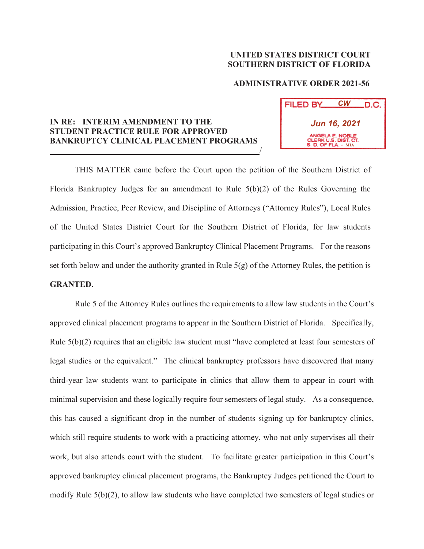## **UNITED STATES DISTRICT COURT SOUTHERN DISTRICT OF FLORIDA**

## **ADMINISTRATIVE ORDER 2021-56**

**FILED BY** 

*CW*

D.C.

**MIA**

*Jun 16, 2021*

## **IN RE: INTERIM AMENDMENT TO THE STUDENT PRACTICE RULE FOR APPROVED BANKRUPTCY CLINICAL PLACEMENT PROGRAMS**   $\overline{\phantom{a}}$

THIS MATTER came before the Court upon the petition of the Southern District of Florida Bankruptcy Judges for an amendment to Rule 5(b)(2) of the Rules Governing the Admission, Practice, Peer Review, and Discipline of Attorneys ("Attorney Rules"), Local Rules of the United States District Court for the Southern District of Florida, for law students participating in this Court's approved Bankruptcy Clinical Placement Programs. For the reasons set forth below and under the authority granted in Rule  $5(g)$  of the Attorney Rules, the petition is **GRANTED**.

Rule 5 of the Attorney Rules outlines the requirements to allow law students in the Court's approved clinical placement programs to appear in the Southern District of Florida. Specifically, Rule 5(b)(2) requires that an eligible law student must "have completed at least four semesters of legal studies or the equivalent." The clinical bankruptcy professors have discovered that many third-year law students want to participate in clinics that allow them to appear in court with minimal supervision and these logically require four semesters of legal study. As a consequence, this has caused a significant drop in the number of students signing up for bankruptcy clinics, which still require students to work with a practicing attorney, who not only supervises all their work, but also attends court with the student. To facilitate greater participation in this Court's approved bankruptcy clinical placement programs, the Bankruptcy Judges petitioned the Court to modify Rule 5(b)(2), to allow law students who have completed two semesters of legal studies or